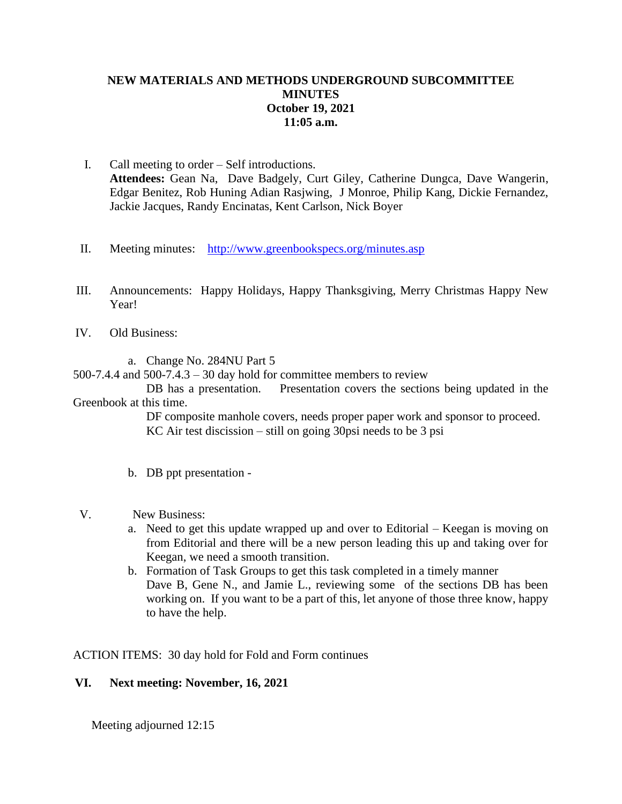## **NEW MATERIALS AND METHODS UNDERGROUND SUBCOMMITTEE MINUTES October 19, 2021 11:05 a.m.**

- I. Call meeting to order Self introductions. **Attendees:** Gean Na, Dave Badgely, Curt Giley, Catherine Dungca, Dave Wangerin, Edgar Benitez, Rob Huning Adian Rasjwing, J Monroe, Philip Kang, Dickie Fernandez, Jackie Jacques, Randy Encinatas, Kent Carlson, Nick Boyer
- II. Meeting minutes: <http://www.greenbookspecs.org/minutes.asp>
- III. Announcements: Happy Holidays, Happy Thanksgiving, Merry Christmas Happy New Year!
- IV. Old Business:
	- a. Change No. 284NU Part 5

500-7.4.4 and 500-7.4.3 – 30 day hold for committee members to review

DB has a presentation. Presentation covers the sections being updated in the Greenbook at this time.

> DF composite manhole covers, needs proper paper work and sponsor to proceed. KC Air test discission – still on going 30psi needs to be 3 psi

- b. DB ppt presentation -
- V. New Business:
	- a. Need to get this update wrapped up and over to Editorial Keegan is moving on from Editorial and there will be a new person leading this up and taking over for Keegan, we need a smooth transition.
	- b. Formation of Task Groups to get this task completed in a timely manner Dave B, Gene N., and Jamie L., reviewing some of the sections DB has been working on. If you want to be a part of this, let anyone of those three know, happy to have the help.

ACTION ITEMS: 30 day hold for Fold and Form continues

## **VI. Next meeting: November, 16, 2021**

Meeting adjourned 12:15